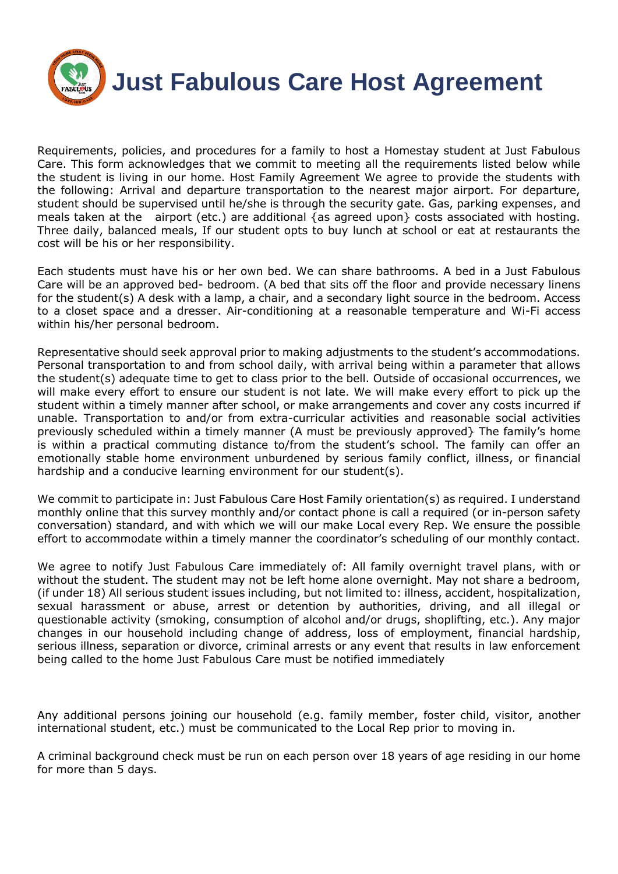

Requirements, policies, and procedures for a family to host a Homestay student at Just Fabulous Care. This form acknowledges that we commit to meeting all the requirements listed below while the student is living in our home. Host Family Agreement We agree to provide the students with the following: Arrival and departure transportation to the nearest major airport. For departure, student should be supervised until he/she is through the security gate. Gas, parking expenses, and meals taken at the airport (etc.) are additional {as agreed upon} costs associated with hosting. Three daily, balanced meals, If our student opts to buy lunch at school or eat at restaurants the cost will be his or her responsibility.

Each students must have his or her own bed. We can share bathrooms. A bed in a Just Fabulous Care will be an approved bed- bedroom. (A bed that sits off the floor and provide necessary linens for the student(s) A desk with a lamp, a chair, and a secondary light source in the bedroom. Access to a closet space and a dresser. Air-conditioning at a reasonable temperature and Wi-Fi access within his/her personal bedroom.

Representative should seek approval prior to making adjustments to the student's accommodations. Personal transportation to and from school daily, with arrival being within a parameter that allows the student(s) adequate time to get to class prior to the bell. Outside of occasional occurrences, we will make every effort to ensure our student is not late. We will make every effort to pick up the student within a timely manner after school, or make arrangements and cover any costs incurred if unable. Transportation to and/or from extra-curricular activities and reasonable social activities previously scheduled within a timely manner (A must be previously approved} The family's home is within a practical commuting distance to/from the student's school. The family can offer an emotionally stable home environment unburdened by serious family conflict, illness, or financial hardship and a conducive learning environment for our student(s).

We commit to participate in: Just Fabulous Care Host Family orientation(s) as required. I understand monthly online that this survey monthly and/or contact phone is call a required (or in-person safety conversation) standard, and with which we will our make Local every Rep. We ensure the possible effort to accommodate within a timely manner the coordinator's scheduling of our monthly contact.

We agree to notify Just Fabulous Care immediately of: All family overnight travel plans, with or without the student. The student may not be left home alone overnight. May not share a bedroom, (if under 18) All serious student issues including, but not limited to: illness, accident, hospitalization, sexual harassment or abuse, arrest or detention by authorities, driving, and all illegal or questionable activity (smoking, consumption of alcohol and/or drugs, shoplifting, etc.). Any major changes in our household including change of address, loss of employment, financial hardship, serious illness, separation or divorce, criminal arrests or any event that results in law enforcement being called to the home Just Fabulous Care must be notified immediately

Any additional persons joining our household (e.g. family member, foster child, visitor, another international student, etc.) must be communicated to the Local Rep prior to moving in.

A criminal background check must be run on each person over 18 years of age residing in our home for more than 5 days.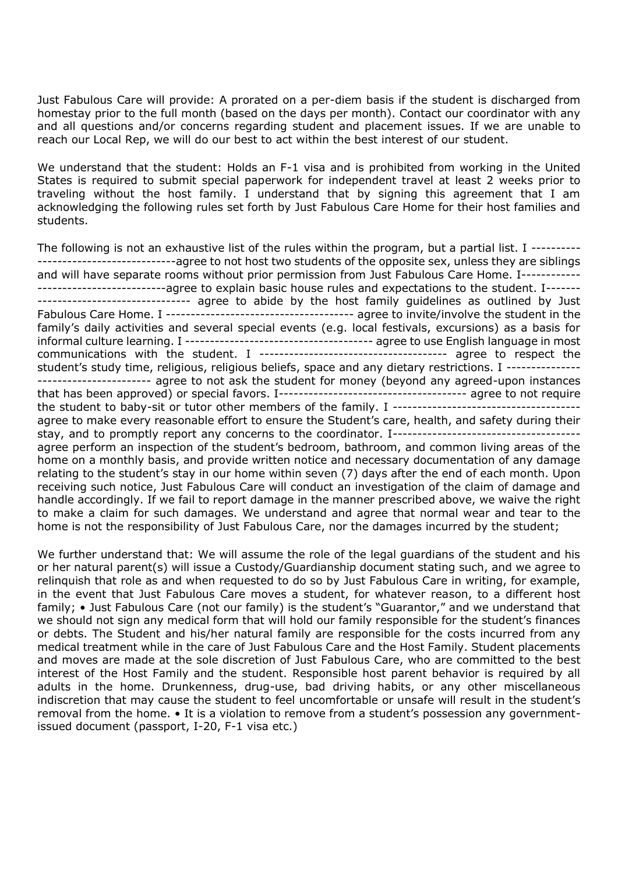Just Fabulous Care will provide: A prorated on a per-diem basis if the student is discharged from homestay prior to the full month (based on the days per month). Contact our coordinator with any and all questions and/or concerns regarding student and placement issues. If we are unable to reach our Local Rep, we will do our best to act within the best interest of our student.

We understand that the student: Holds an F-1 visa and is prohibited from working in the United States is required to submit special paperwork for independent travel at least 2 weeks prior to traveling without the host family. I understand that by signing this agreement that I am acknowledging the following rules set forth by Just Fabulous Care Home for their host families and students.

The following is not an exhaustive list of the rules within the program, but a partial list. I -------------------------------------agree to not host two students of the opposite sex, unless they are siblings and will have separate rooms without prior permission from Just Fabulous Care Home. I------------ ----------------------------agree to explain basic house rules and expectations to the student. I------------------------------------- agree to abide by the host family guidelines as outlined by Just Fabulous Care Home. I -------------------------------------- agree to invite/involve the student in the family's daily activities and several special events (e.g. local festivals, excursions) as a basis for informal culture learning. I -------------------------------------- agree to use English language in most communications with the student. I -------------------------------------- agree to respect the student's study time, religious, religious beliefs, space and any dietary restrictions. I -------------------------------------- agree to not ask the student for money (beyond any agreed-upon instances that has been approved) or special favors. I-------------------------------------- agree to not require the student to baby-sit or tutor other members of the family. I ------------------------------------- agree to make every reasonable effort to ensure the Student's care, health, and safety during their stay, and to promptly report any concerns to the coordinator. I------------------------------------- agree perform an inspection of the student's bedroom, bathroom, and common living areas of the home on a monthly basis, and provide written notice and necessary documentation of any damage relating to the student's stay in our home within seven (7) days after the end of each month. Upon receiving such notice, Just Fabulous Care will conduct an investigation of the claim of damage and handle accordingly. If we fail to report damage in the manner prescribed above, we waive the right to make a claim for such damages. We understand and agree that normal wear and tear to the home is not the responsibility of Just Fabulous Care, nor the damages incurred by the student;

We further understand that: We will assume the role of the legal guardians of the student and his or her natural parent(s) will issue a Custody/Guardianship document stating such, and we agree to relinquish that role as and when requested to do so by Just Fabulous Care in writing, for example, in the event that Just Fabulous Care moves a student, for whatever reason, to a different host family; • Just Fabulous Care (not our family) is the student's "Guarantor," and we understand that we should not sign any medical form that will hold our family responsible for the student's finances or debts. The Student and his/her natural family are responsible for the costs incurred from any medical treatment while in the care of Just Fabulous Care and the Host Family. Student placements and moves are made at the sole discretion of Just Fabulous Care, who are committed to the best interest of the Host Family and the student. Responsible host parent behavior is required by all adults in the home. Drunkenness, drug-use, bad driving habits, or any other miscellaneous indiscretion that may cause the student to feel uncomfortable or unsafe will result in the student's removal from the home. • It is a violation to remove from a student's possession any governmentissued document (passport, I-20, F-1 visa etc.)